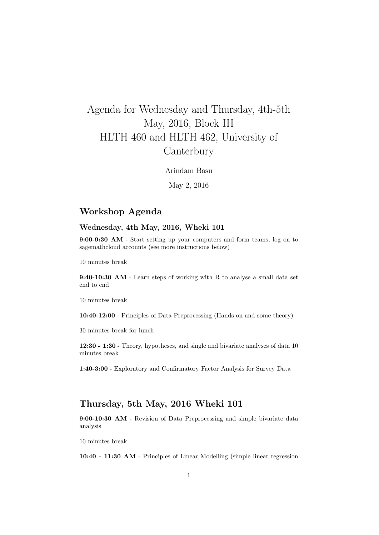# Agenda for Wednesday and Thursday, 4th-5th May, 2016, Block III HLTH 460 and HLTH 462, University of **Canterbury**

Arindam Basu

May 2, 2016

### Workshop Agenda

#### Wednesday, 4th May, 2016, Wheki 101

9:00-9:30 AM - Start setting up your computers and form teams, log on to sagemathcloud accounts (see more instructions below)

10 minutes break

9:40-10:30 AM - Learn steps of working with R to analyse a small data set end to end

10 minutes break

10:40-12:00 - Principles of Data Preprocessing (Hands on and some theory)

30 minutes break for lunch

12:30 - 1:30 - Theory, hypotheses, and single and bivariate analyses of data 10 minutes break

1:40-3:00 - Exploratory and Confirmatory Factor Analysis for Survey Data

## Thursday, 5th May, 2016 Wheki 101

9:00-10:30 AM - Revision of Data Preprocessing and simple bivariate data analysis

10 minutes break

10:40 - 11:30 AM - Principles of Linear Modelling (simple linear regression